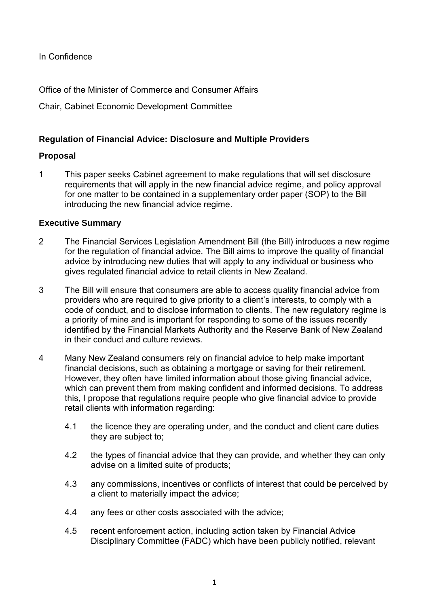In Confidence

Office of the Minister of Commerce and Consumer Affairs

Chair, Cabinet Economic Development Committee

# **Regulation of Financial Advice: Disclosure and Multiple Providers**

## **Proposal**

1 This paper seeks Cabinet agreement to make regulations that will set disclosure requirements that will apply in the new financial advice regime, and policy approval for one matter to be contained in a supplementary order paper (SOP) to the Bill introducing the new financial advice regime.

## **Executive Summary**

- 2 The Financial Services Legislation Amendment Bill (the Bill) introduces a new regime for the regulation of financial advice. The Bill aims to improve the quality of financial advice by introducing new duties that will apply to any individual or business who gives regulated financial advice to retail clients in New Zealand.
- 3 The Bill will ensure that consumers are able to access quality financial advice from providers who are required to give priority to a client's interests, to comply with a code of conduct, and to disclose information to clients. The new regulatory regime is a priority of mine and is important for responding to some of the issues recently identified by the Financial Markets Authority and the Reserve Bank of New Zealand in their conduct and culture reviews.
- 4 Many New Zealand consumers rely on financial advice to help make important financial decisions, such as obtaining a mortgage or saving for their retirement. However, they often have limited information about those giving financial advice, which can prevent them from making confident and informed decisions. To address this, I propose that regulations require people who give financial advice to provide retail clients with information regarding:
	- 4.1 the licence they are operating under, and the conduct and client care duties they are subject to;
	- 4.2 the types of financial advice that they can provide, and whether they can only advise on a limited suite of products;
	- 4.3 any commissions, incentives or conflicts of interest that could be perceived by a client to materially impact the advice;
	- 4.4 any fees or other costs associated with the advice;
	- 4.5 recent enforcement action, including action taken by Financial Advice Disciplinary Committee (FADC) which have been publicly notified, relevant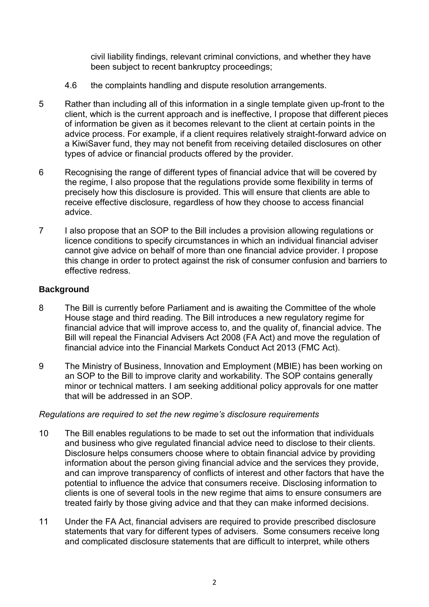civil liability findings, relevant criminal convictions, and whether they have been subject to recent bankruptcy proceedings;

- 4.6 the complaints handling and dispute resolution arrangements.
- 5 Rather than including all of this information in a single template given up-front to the client, which is the current approach and is ineffective, I propose that different pieces of information be given as it becomes relevant to the client at certain points in the advice process. For example, if a client requires relatively straight-forward advice on a KiwiSaver fund, they may not benefit from receiving detailed disclosures on other types of advice or financial products offered by the provider.
- 6 Recognising the range of different types of financial advice that will be covered by the regime, I also propose that the regulations provide some flexibility in terms of precisely how this disclosure is provided. This will ensure that clients are able to receive effective disclosure, regardless of how they choose to access financial advice.
- 7 I also propose that an SOP to the Bill includes a provision allowing regulations or licence conditions to specify circumstances in which an individual financial adviser cannot give advice on behalf of more than one financial advice provider. I propose this change in order to protect against the risk of consumer confusion and barriers to effective redress.

# **Background**

- 8 The Bill is currently before Parliament and is awaiting the Committee of the whole House stage and third reading. The Bill introduces a new regulatory regime for financial advice that will improve access to, and the quality of, financial advice. The Bill will repeal the Financial Advisers Act 2008 (FA Act) and move the regulation of financial advice into the Financial Markets Conduct Act 2013 (FMC Act).
- 9 The Ministry of Business, Innovation and Employment (MBIE) has been working on an SOP to the Bill to improve clarity and workability. The SOP contains generally minor or technical matters. I am seeking additional policy approvals for one matter that will be addressed in an SOP.

### *Regulations are required to set the new regime's disclosure requirements*

- 10 The Bill enables regulations to be made to set out the information that individuals and business who give regulated financial advice need to disclose to their clients. Disclosure helps consumers choose where to obtain financial advice by providing information about the person giving financial advice and the services they provide, and can improve transparency of conflicts of interest and other factors that have the potential to influence the advice that consumers receive. Disclosing information to clients is one of several tools in the new regime that aims to ensure consumers are treated fairly by those giving advice and that they can make informed decisions.
- 11 Under the FA Act, financial advisers are required to provide prescribed disclosure statements that vary for different types of advisers. Some consumers receive long and complicated disclosure statements that are difficult to interpret, while others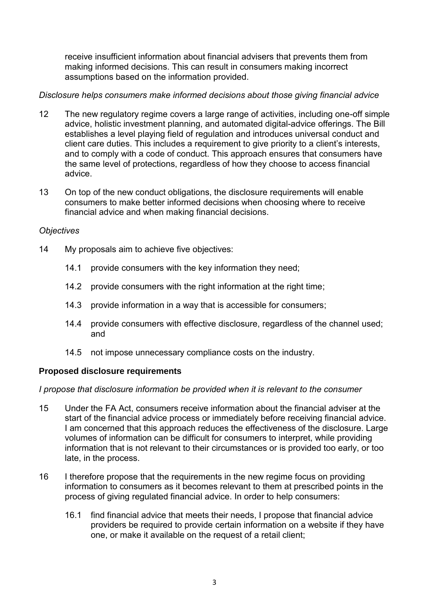receive insufficient information about financial advisers that prevents them from making informed decisions. This can result in consumers making incorrect assumptions based on the information provided.

## *Disclosure helps consumers make informed decisions about those giving financial advice*

- 12 The new regulatory regime covers a large range of activities, including one-off simple advice, holistic investment planning, and automated digital-advice offerings. The Bill establishes a level playing field of regulation and introduces universal conduct and client care duties. This includes a requirement to give priority to a client's interests, and to comply with a code of conduct. This approach ensures that consumers have the same level of protections, regardless of how they choose to access financial advice.
- 13 On top of the new conduct obligations, the disclosure requirements will enable consumers to make better informed decisions when choosing where to receive financial advice and when making financial decisions.

### *Objectives*

- 14 My proposals aim to achieve five objectives:
	- 14.1 provide consumers with the key information they need;
	- 14.2 provide consumers with the right information at the right time;
	- 14.3 provide information in a way that is accessible for consumers;
	- 14.4 provide consumers with effective disclosure, regardless of the channel used; and
	- 14.5 not impose unnecessary compliance costs on the industry.

### **Proposed disclosure requirements**

*I propose that disclosure information be provided when it is relevant to the consumer* 

- 15 Under the FA Act, consumers receive information about the financial adviser at the start of the financial advice process or immediately before receiving financial advice. I am concerned that this approach reduces the effectiveness of the disclosure. Large volumes of information can be difficult for consumers to interpret, while providing information that is not relevant to their circumstances or is provided too early, or too late, in the process.
- 16 I therefore propose that the requirements in the new regime focus on providing information to consumers as it becomes relevant to them at prescribed points in the process of giving regulated financial advice. In order to help consumers:
	- 16.1 find financial advice that meets their needs, I propose that financial advice providers be required to provide certain information on a website if they have one, or make it available on the request of a retail client;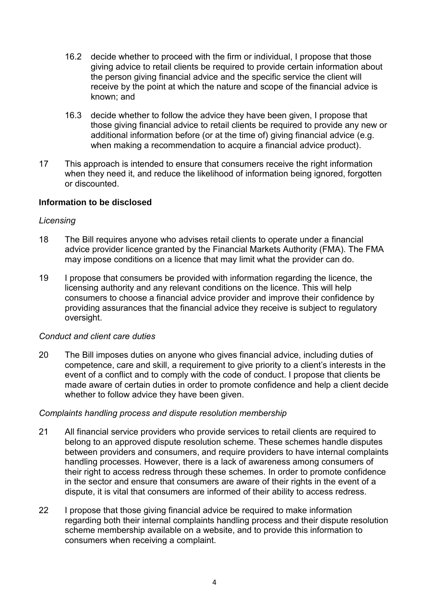- 16.2 decide whether to proceed with the firm or individual, I propose that those giving advice to retail clients be required to provide certain information about the person giving financial advice and the specific service the client will receive by the point at which the nature and scope of the financial advice is known; and
- 16.3 decide whether to follow the advice they have been given, I propose that those giving financial advice to retail clients be required to provide any new or additional information before (or at the time of) giving financial advice (e.g. when making a recommendation to acquire a financial advice product).
- 17 This approach is intended to ensure that consumers receive the right information when they need it, and reduce the likelihood of information being ignored, forgotten or discounted.

### **Information to be disclosed**

#### *Licensing*

- 18 The Bill requires anyone who advises retail clients to operate under a financial advice provider licence granted by the Financial Markets Authority (FMA). The FMA may impose conditions on a licence that may limit what the provider can do.
- 19 I propose that consumers be provided with information regarding the licence, the licensing authority and any relevant conditions on the licence. This will help consumers to choose a financial advice provider and improve their confidence by providing assurances that the financial advice they receive is subject to regulatory oversight.

#### *Conduct and client care duties*

20 The Bill imposes duties on anyone who gives financial advice, including duties of competence, care and skill, a requirement to give priority to a client's interests in the event of a conflict and to comply with the code of conduct. I propose that clients be made aware of certain duties in order to promote confidence and help a client decide whether to follow advice they have been given.

#### *Complaints handling process and dispute resolution membership*

- 21 All financial service providers who provide services to retail clients are required to belong to an approved dispute resolution scheme. These schemes handle disputes between providers and consumers, and require providers to have internal complaints handling processes. However, there is a lack of awareness among consumers of their right to access redress through these schemes. In order to promote confidence in the sector and ensure that consumers are aware of their rights in the event of a dispute, it is vital that consumers are informed of their ability to access redress.
- 22 I propose that those giving financial advice be required to make information regarding both their internal complaints handling process and their dispute resolution scheme membership available on a website, and to provide this information to consumers when receiving a complaint.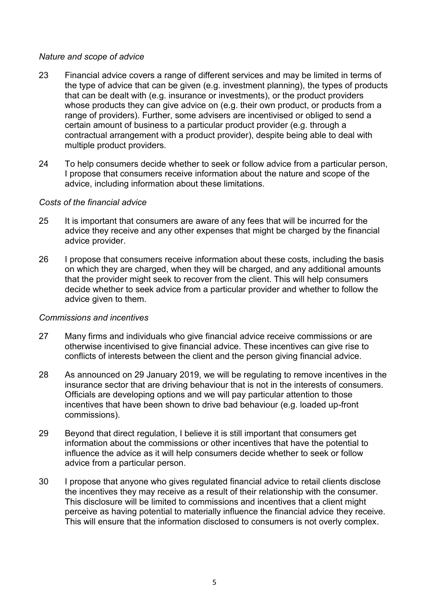### *Nature and scope of advice*

- 23 Financial advice covers a range of different services and may be limited in terms of the type of advice that can be given (e.g. investment planning), the types of products that can be dealt with (e.g. insurance or investments), or the product providers whose products they can give advice on (e.g. their own product, or products from a range of providers). Further, some advisers are incentivised or obliged to send a certain amount of business to a particular product provider (e.g. through a contractual arrangement with a product provider), despite being able to deal with multiple product providers.
- 24 To help consumers decide whether to seek or follow advice from a particular person, I propose that consumers receive information about the nature and scope of the advice, including information about these limitations.

#### *Costs of the financial advice*

- 25 It is important that consumers are aware of any fees that will be incurred for the advice they receive and any other expenses that might be charged by the financial advice provider.
- 26 I propose that consumers receive information about these costs, including the basis on which they are charged, when they will be charged, and any additional amounts that the provider might seek to recover from the client. This will help consumers decide whether to seek advice from a particular provider and whether to follow the advice given to them.

#### *Commissions and incentives*

- 27 Many firms and individuals who give financial advice receive commissions or are otherwise incentivised to give financial advice. These incentives can give rise to conflicts of interests between the client and the person giving financial advice.
- 28 As announced on 29 January 2019, we will be regulating to remove incentives in the insurance sector that are driving behaviour that is not in the interests of consumers. Officials are developing options and we will pay particular attention to those incentives that have been shown to drive bad behaviour (e.g. loaded up-front commissions).
- 29 Beyond that direct regulation, I believe it is still important that consumers get information about the commissions or other incentives that have the potential to influence the advice as it will help consumers decide whether to seek or follow advice from a particular person.
- 30 I propose that anyone who gives regulated financial advice to retail clients disclose the incentives they may receive as a result of their relationship with the consumer. This disclosure will be limited to commissions and incentives that a client might perceive as having potential to materially influence the financial advice they receive. This will ensure that the information disclosed to consumers is not overly complex.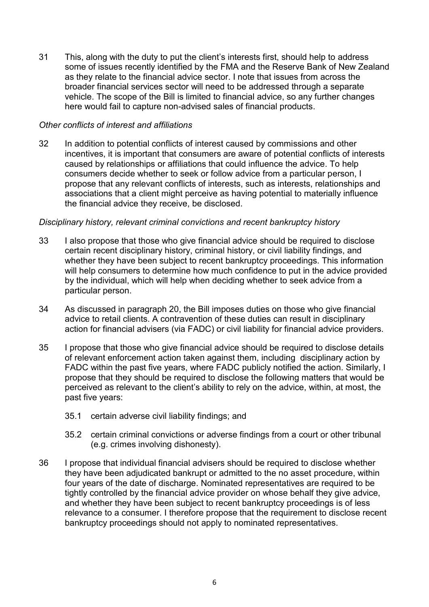31 This, along with the duty to put the client's interests first, should help to address some of issues recently identified by the FMA and the Reserve Bank of New Zealand as they relate to the financial advice sector. I note that issues from across the broader financial services sector will need to be addressed through a separate vehicle. The scope of the Bill is limited to financial advice, so any further changes here would fail to capture non-advised sales of financial products.

### *Other conflicts of interest and affiliations*

32 In addition to potential conflicts of interest caused by commissions and other incentives, it is important that consumers are aware of potential conflicts of interests caused by relationships or affiliations that could influence the advice. To help consumers decide whether to seek or follow advice from a particular person, I propose that any relevant conflicts of interests, such as interests, relationships and associations that a client might perceive as having potential to materially influence the financial advice they receive, be disclosed.

### *Disciplinary history, relevant criminal convictions and recent bankruptcy history*

- 33 I also propose that those who give financial advice should be required to disclose certain recent disciplinary history, criminal history, or civil liability findings, and whether they have been subject to recent bankruptcy proceedings. This information will help consumers to determine how much confidence to put in the advice provided by the individual, which will help when deciding whether to seek advice from a particular person.
- 34 As discussed in paragraph 20, the Bill imposes duties on those who give financial advice to retail clients. A contravention of these duties can result in disciplinary action for financial advisers (via FADC) or civil liability for financial advice providers.
- 35 I propose that those who give financial advice should be required to disclose details of relevant enforcement action taken against them, including disciplinary action by FADC within the past five years, where FADC publicly notified the action. Similarly, I propose that they should be required to disclose the following matters that would be perceived as relevant to the client's ability to rely on the advice, within, at most, the past five years:
	- 35.1 certain adverse civil liability findings; and
	- 35.2 certain criminal convictions or adverse findings from a court or other tribunal (e.g. crimes involving dishonesty).
- 36 I propose that individual financial advisers should be required to disclose whether they have been adjudicated bankrupt or admitted to the no asset procedure, within four years of the date of discharge. Nominated representatives are required to be tightly controlled by the financial advice provider on whose behalf they give advice, and whether they have been subject to recent bankruptcy proceedings is of less relevance to a consumer. I therefore propose that the requirement to disclose recent bankruptcy proceedings should not apply to nominated representatives.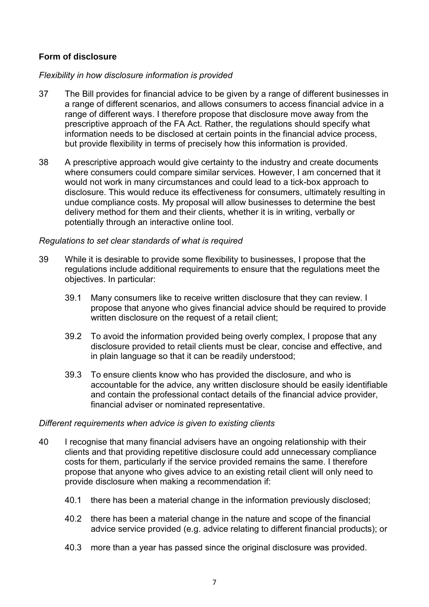# **Form of disclosure**

### *Flexibility in how disclosure information is provided*

- 37 The Bill provides for financial advice to be given by a range of different businesses in a range of different scenarios, and allows consumers to access financial advice in a range of different ways. I therefore propose that disclosure move away from the prescriptive approach of the FA Act. Rather, the regulations should specify what information needs to be disclosed at certain points in the financial advice process, but provide flexibility in terms of precisely how this information is provided.
- 38 A prescriptive approach would give certainty to the industry and create documents where consumers could compare similar services. However, I am concerned that it would not work in many circumstances and could lead to a tick-box approach to disclosure. This would reduce its effectiveness for consumers, ultimately resulting in undue compliance costs. My proposal will allow businesses to determine the best delivery method for them and their clients, whether it is in writing, verbally or potentially through an interactive online tool.

#### *Regulations to set clear standards of what is required*

- 39 While it is desirable to provide some flexibility to businesses, I propose that the regulations include additional requirements to ensure that the regulations meet the objectives. In particular:
	- 39.1 Many consumers like to receive written disclosure that they can review. I propose that anyone who gives financial advice should be required to provide written disclosure on the request of a retail client;
	- 39.2 To avoid the information provided being overly complex, I propose that any disclosure provided to retail clients must be clear, concise and effective, and in plain language so that it can be readily understood;
	- 39.3 To ensure clients know who has provided the disclosure, and who is accountable for the advice, any written disclosure should be easily identifiable and contain the professional contact details of the financial advice provider, financial adviser or nominated representative.

#### *Different requirements when advice is given to existing clients*

- 40 I recognise that many financial advisers have an ongoing relationship with their clients and that providing repetitive disclosure could add unnecessary compliance costs for them, particularly if the service provided remains the same. I therefore propose that anyone who gives advice to an existing retail client will only need to provide disclosure when making a recommendation if:
	- 40.1 there has been a material change in the information previously disclosed;
	- 40.2 there has been a material change in the nature and scope of the financial advice service provided (e.g. advice relating to different financial products); or
	- 40.3 more than a year has passed since the original disclosure was provided.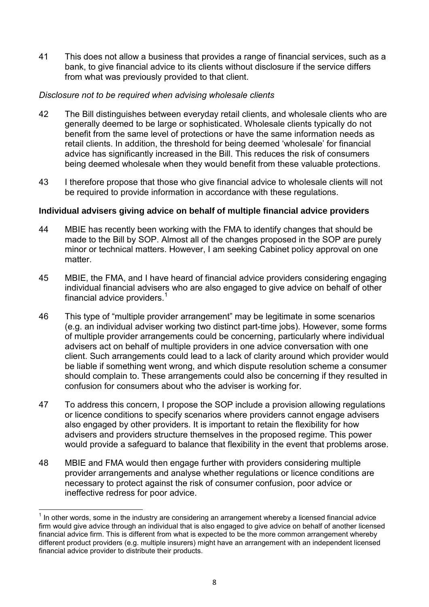41 This does not allow a business that provides a range of financial services, such as a bank, to give financial advice to its clients without disclosure if the service differs from what was previously provided to that client.

### *Disclosure not to be required when advising wholesale clients*

- 42 The Bill distinguishes between everyday retail clients, and wholesale clients who are generally deemed to be large or sophisticated. Wholesale clients typically do not benefit from the same level of protections or have the same information needs as retail clients. In addition, the threshold for being deemed 'wholesale' for financial advice has significantly increased in the Bill. This reduces the risk of consumers being deemed wholesale when they would benefit from these valuable protections.
- 43 I therefore propose that those who give financial advice to wholesale clients will not be required to provide information in accordance with these regulations.

#### **Individual advisers giving advice on behalf of multiple financial advice providers**

- 44 MBIE has recently been working with the FMA to identify changes that should be made to the Bill by SOP. Almost all of the changes proposed in the SOP are purely minor or technical matters. However, I am seeking Cabinet policy approval on one matter.
- 45 MBIE, the FMA, and I have heard of financial advice providers considering engaging individual financial advisers who are also engaged to give advice on behalf of other financial advice providers. $1$
- 46 This type of "multiple provider arrangement" may be legitimate in some scenarios (e.g. an individual adviser working two distinct part-time jobs). However, some forms of multiple provider arrangements could be concerning, particularly where individual advisers act on behalf of multiple providers in one advice conversation with one client. Such arrangements could lead to a lack of clarity around which provider would be liable if something went wrong, and which dispute resolution scheme a consumer should complain to. These arrangements could also be concerning if they resulted in confusion for consumers about who the adviser is working for.
- 47 To address this concern, I propose the SOP include a provision allowing regulations or licence conditions to specify scenarios where providers cannot engage advisers also engaged by other providers. It is important to retain the flexibility for how advisers and providers structure themselves in the proposed regime. This power would provide a safeguard to balance that flexibility in the event that problems arose.
- 48 MBIE and FMA would then engage further with providers considering multiple provider arrangements and analyse whether regulations or licence conditions are necessary to protect against the risk of consumer confusion, poor advice or ineffective redress for poor advice.

**<sup>.</sup>**  $<sup>1</sup>$  In other words, some in the industry are considering an arrangement whereby a licensed financial advice</sup> firm would give advice through an individual that is also engaged to give advice on behalf of another licensed financial advice firm. This is different from what is expected to be the more common arrangement whereby different product providers (e.g. multiple insurers) might have an arrangement with an independent licensed financial advice provider to distribute their products.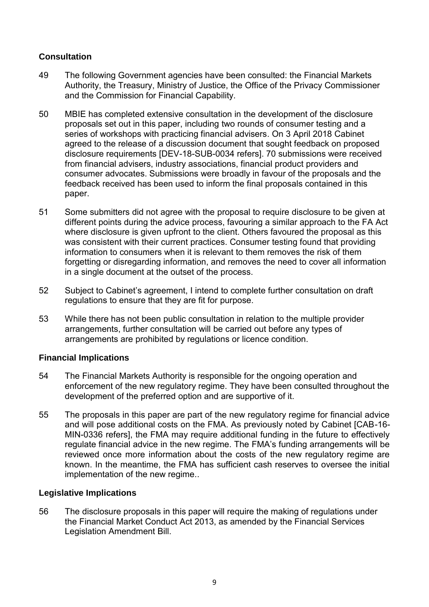# **Consultation**

- 49 The following Government agencies have been consulted: the Financial Markets Authority, the Treasury, Ministry of Justice, the Office of the Privacy Commissioner and the Commission for Financial Capability.
- 50 MBIE has completed extensive consultation in the development of the disclosure proposals set out in this paper, including two rounds of consumer testing and a series of workshops with practicing financial advisers. On 3 April 2018 Cabinet agreed to the release of a discussion document that sought feedback on proposed disclosure requirements [DEV-18-SUB-0034 refers]. 70 submissions were received from financial advisers, industry associations, financial product providers and consumer advocates. Submissions were broadly in favour of the proposals and the feedback received has been used to inform the final proposals contained in this paper.
- 51 Some submitters did not agree with the proposal to require disclosure to be given at different points during the advice process, favouring a similar approach to the FA Act where disclosure is given upfront to the client. Others favoured the proposal as this was consistent with their current practices. Consumer testing found that providing information to consumers when it is relevant to them removes the risk of them forgetting or disregarding information, and removes the need to cover all information in a single document at the outset of the process.
- 52 Subject to Cabinet's agreement, I intend to complete further consultation on draft regulations to ensure that they are fit for purpose.
- 53 While there has not been public consultation in relation to the multiple provider arrangements, further consultation will be carried out before any types of arrangements are prohibited by regulations or licence condition.

# **Financial Implications**

- 54 The Financial Markets Authority is responsible for the ongoing operation and enforcement of the new regulatory regime. They have been consulted throughout the development of the preferred option and are supportive of it.
- 55 The proposals in this paper are part of the new regulatory regime for financial advice and will pose additional costs on the FMA. As previously noted by Cabinet [CAB-16- MIN-0336 refers], the FMA may require additional funding in the future to effectively regulate financial advice in the new regime. The FMA's funding arrangements will be reviewed once more information about the costs of the new regulatory regime are known. In the meantime, the FMA has sufficient cash reserves to oversee the initial implementation of the new regime..

# **Legislative Implications**

56 The disclosure proposals in this paper will require the making of regulations under the Financial Market Conduct Act 2013, as amended by the Financial Services Legislation Amendment Bill.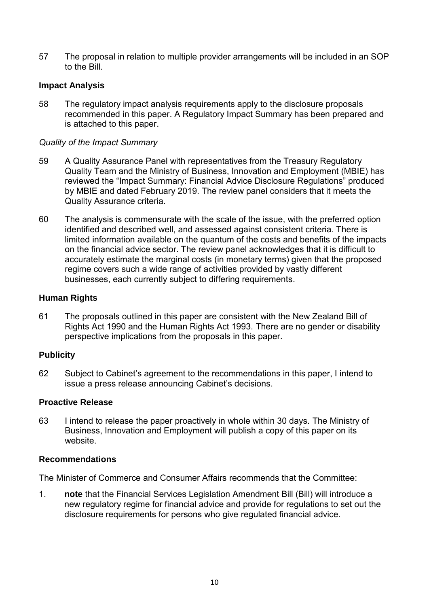57 The proposal in relation to multiple provider arrangements will be included in an SOP to the Bill.

## **Impact Analysis**

58 The regulatory impact analysis requirements apply to the disclosure proposals recommended in this paper. A Regulatory Impact Summary has been prepared and is attached to this paper.

## *Quality of the Impact Summary*

- 59 A Quality Assurance Panel with representatives from the Treasury Regulatory Quality Team and the Ministry of Business, Innovation and Employment (MBIE) has reviewed the "Impact Summary: Financial Advice Disclosure Regulations" produced by MBIE and dated February 2019. The review panel considers that it meets the Quality Assurance criteria.
- 60 The analysis is commensurate with the scale of the issue, with the preferred option identified and described well, and assessed against consistent criteria. There is limited information available on the quantum of the costs and benefits of the impacts on the financial advice sector. The review panel acknowledges that it is difficult to accurately estimate the marginal costs (in monetary terms) given that the proposed regime covers such a wide range of activities provided by vastly different businesses, each currently subject to differing requirements.

### **Human Rights**

61 The proposals outlined in this paper are consistent with the New Zealand Bill of Rights Act 1990 and the Human Rights Act 1993. There are no gender or disability perspective implications from the proposals in this paper.

### **Publicity**

62 Subject to Cabinet's agreement to the recommendations in this paper, I intend to issue a press release announcing Cabinet's decisions.

### **Proactive Release**

63 I intend to release the paper proactively in whole within 30 days. The Ministry of Business, Innovation and Employment will publish a copy of this paper on its website.

### **Recommendations**

The Minister of Commerce and Consumer Affairs recommends that the Committee:

1. **note** that the Financial Services Legislation Amendment Bill (Bill) will introduce a new regulatory regime for financial advice and provide for regulations to set out the disclosure requirements for persons who give regulated financial advice.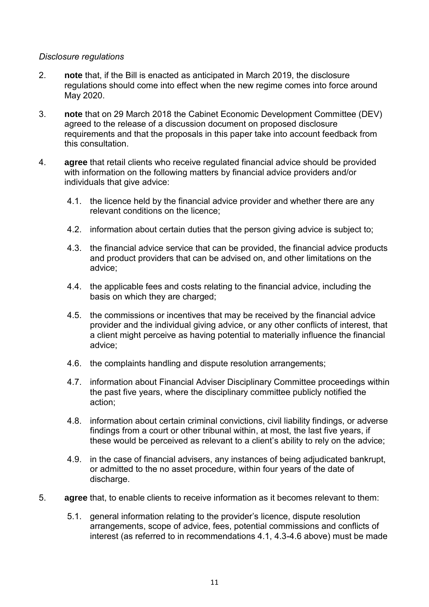#### *Disclosure regulations*

- 2. **note** that, if the Bill is enacted as anticipated in March 2019, the disclosure regulations should come into effect when the new regime comes into force around May 2020.
- 3. **note** that on 29 March 2018 the Cabinet Economic Development Committee (DEV) agreed to the release of a discussion document on proposed disclosure requirements and that the proposals in this paper take into account feedback from this consultation.
- 4. **agree** that retail clients who receive regulated financial advice should be provided with information on the following matters by financial advice providers and/or individuals that give advice:
	- 4.1. the licence held by the financial advice provider and whether there are any relevant conditions on the licence;
	- 4.2. information about certain duties that the person giving advice is subject to;
	- 4.3. the financial advice service that can be provided, the financial advice products and product providers that can be advised on, and other limitations on the advice;
	- 4.4. the applicable fees and costs relating to the financial advice, including the basis on which they are charged;
	- 4.5. the commissions or incentives that may be received by the financial advice provider and the individual giving advice, or any other conflicts of interest, that a client might perceive as having potential to materially influence the financial advice;
	- 4.6. the complaints handling and dispute resolution arrangements;
	- 4.7. information about Financial Adviser Disciplinary Committee proceedings within the past five years, where the disciplinary committee publicly notified the action;
	- 4.8. information about certain criminal convictions, civil liability findings, or adverse findings from a court or other tribunal within, at most, the last five years, if these would be perceived as relevant to a client's ability to rely on the advice;
	- 4.9. in the case of financial advisers, any instances of being adjudicated bankrupt, or admitted to the no asset procedure, within four years of the date of discharge.
- 5. **agree** that, to enable clients to receive information as it becomes relevant to them:
	- 5.1. general information relating to the provider's licence, dispute resolution arrangements, scope of advice, fees, potential commissions and conflicts of interest (as referred to in recommendations 4.1, 4.3-4.6 above) must be made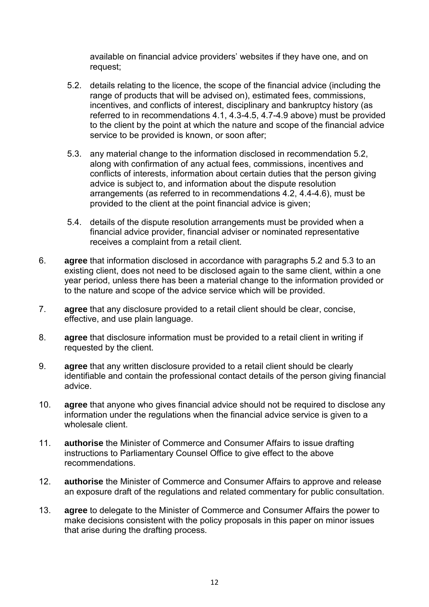available on financial advice providers' websites if they have one, and on request;

- 5.2. details relating to the licence, the scope of the financial advice (including the range of products that will be advised on), estimated fees, commissions, incentives, and conflicts of interest, disciplinary and bankruptcy history (as referred to in recommendations 4.1, 4.3-4.5, 4.7-4.9 above) must be provided to the client by the point at which the nature and scope of the financial advice service to be provided is known, or soon after;
- 5.3. any material change to the information disclosed in recommendation 5.2, along with confirmation of any actual fees, commissions, incentives and conflicts of interests, information about certain duties that the person giving advice is subject to, and information about the dispute resolution arrangements (as referred to in recommendations 4.2, 4.4-4.6), must be provided to the client at the point financial advice is given;
- 5.4. details of the dispute resolution arrangements must be provided when a financial advice provider, financial adviser or nominated representative receives a complaint from a retail client.
- 6. **agree** that information disclosed in accordance with paragraphs 5.2 and 5.3 to an existing client, does not need to be disclosed again to the same client, within a one year period, unless there has been a material change to the information provided or to the nature and scope of the advice service which will be provided.
- 7. **agree** that any disclosure provided to a retail client should be clear, concise, effective, and use plain language.
- 8. **agree** that disclosure information must be provided to a retail client in writing if requested by the client.
- 9. **agree** that any written disclosure provided to a retail client should be clearly identifiable and contain the professional contact details of the person giving financial advice.
- 10. **agree** that anyone who gives financial advice should not be required to disclose any information under the regulations when the financial advice service is given to a wholesale client.
- 11. **authorise** the Minister of Commerce and Consumer Affairs to issue drafting instructions to Parliamentary Counsel Office to give effect to the above recommendations.
- 12. **authorise** the Minister of Commerce and Consumer Affairs to approve and release an exposure draft of the regulations and related commentary for public consultation.
- 13. **agree** to delegate to the Minister of Commerce and Consumer Affairs the power to make decisions consistent with the policy proposals in this paper on minor issues that arise during the drafting process.